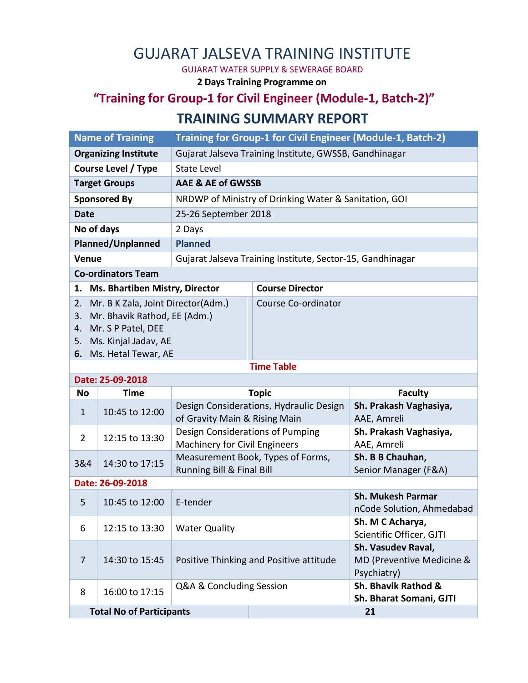## GUJARAT JALSEVA TRAINING INSTITUTE

GUJARAT WATER SUPPLY & SEWERAGE BOARD

**2 Days Training Programme on**

## **"Training for Group-1 for Civil Engineer (Module-1, Batch-2)" TRAINING SUMMARY REPORT**

|                             | <b>Name of Training</b>                                                                                                                    | Training for Group-1 for Civil Engineer (Module-1, Batch-2)              |                        |                                                                |  |  |  |  |
|-----------------------------|--------------------------------------------------------------------------------------------------------------------------------------------|--------------------------------------------------------------------------|------------------------|----------------------------------------------------------------|--|--|--|--|
| <b>Organizing Institute</b> |                                                                                                                                            | Gujarat Jalseva Training Institute, GWSSB, Gandhinagar                   |                        |                                                                |  |  |  |  |
| <b>Course Level / Type</b>  |                                                                                                                                            | <b>State Level</b>                                                       |                        |                                                                |  |  |  |  |
| <b>Target Groups</b>        |                                                                                                                                            | <b>AAE &amp; AE of GWSSB</b>                                             |                        |                                                                |  |  |  |  |
| <b>Sponsored By</b>         |                                                                                                                                            | NRDWP of Ministry of Drinking Water & Sanitation, GOI                    |                        |                                                                |  |  |  |  |
| <b>Date</b>                 |                                                                                                                                            | 25-26 September 2018                                                     |                        |                                                                |  |  |  |  |
| No of days                  |                                                                                                                                            | 2 Days                                                                   |                        |                                                                |  |  |  |  |
| <b>Planned/Unplanned</b>    |                                                                                                                                            | <b>Planned</b>                                                           |                        |                                                                |  |  |  |  |
| Venue                       |                                                                                                                                            | Gujarat Jalseva Training Institute, Sector-15, Gandhinagar               |                        |                                                                |  |  |  |  |
| <b>Co-ordinators Team</b>   |                                                                                                                                            |                                                                          |                        |                                                                |  |  |  |  |
| 1.                          | Ms. Bhartiben Mistry, Director                                                                                                             |                                                                          | <b>Course Director</b> |                                                                |  |  |  |  |
| 2.<br>3.<br>4.<br>5.        | Mr. B K Zala, Joint Director(Adm.)<br>Mr. Bhavik Rathod, EE (Adm.)<br>Mr. S P Patel, DEE<br>Ms. Kinjal Jadav, AE<br>6. Ms. Hetal Tewar, AE |                                                                          | Course Co-ordinator    |                                                                |  |  |  |  |
| <b>Time Table</b>           |                                                                                                                                            |                                                                          |                        |                                                                |  |  |  |  |
|                             | Date: 25-09-2018                                                                                                                           |                                                                          |                        |                                                                |  |  |  |  |
| <b>No</b>                   | <b>Time</b>                                                                                                                                |                                                                          | <b>Topic</b>           | <b>Faculty</b>                                                 |  |  |  |  |
| $\mathbf{1}$                | 10:45 to 12:00                                                                                                                             | Design Considerations, Hydraulic Design<br>of Gravity Main & Rising Main |                        | Sh. Prakash Vaghasiya,<br>AAE, Amreli                          |  |  |  |  |
| $\overline{2}$              | 12:15 to 13:30                                                                                                                             | Design Considerations of Pumping<br><b>Machinery for Civil Engineers</b> |                        | Sh. Prakash Vaghasiya,<br>AAE, Amreli                          |  |  |  |  |
| 3&4                         | 14:30 to 17:15                                                                                                                             | Measurement Book, Types of Forms,<br>Running Bill & Final Bill           |                        | Sh. B B Chauhan,<br>Senior Manager (F&A)                       |  |  |  |  |
| Date: 26-09-2018            |                                                                                                                                            |                                                                          |                        |                                                                |  |  |  |  |
| 5                           | 10:45 to 12:00                                                                                                                             | E-tender                                                                 |                        | <b>Sh. Mukesh Parmar</b><br>nCode Solution, Ahmedabad          |  |  |  |  |
| 6                           | 12:15 to 13:30                                                                                                                             | <b>Water Quality</b>                                                     |                        | Sh. M C Acharya,<br>Scientific Officer, GJTI                   |  |  |  |  |
| 7                           | 14:30 to 15:45                                                                                                                             | Positive Thinking and Positive attitude                                  |                        | Sh. Vasudev Raval,<br>MD (Preventive Medicine &<br>Psychiatry) |  |  |  |  |
| 8                           | 16:00 to 17:15                                                                                                                             | Q&A & Concluding Session                                                 |                        | Sh. Bhavik Rathod &<br>Sh. Bharat Somani, GJTI                 |  |  |  |  |
|                             |                                                                                                                                            |                                                                          |                        |                                                                |  |  |  |  |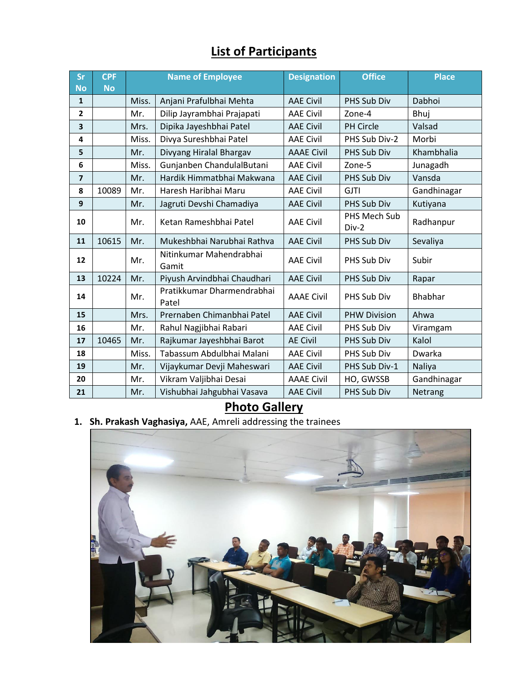## **List of Participants**

| Sr             | <b>CPF</b> | <b>Name of Employee</b> |                                     | <b>Designation</b> | <b>Office</b>         | <b>Place</b>   |
|----------------|------------|-------------------------|-------------------------------------|--------------------|-----------------------|----------------|
| <b>No</b>      | <b>No</b>  |                         |                                     |                    |                       |                |
| $\mathbf{1}$   |            | Miss.                   | Anjani Prafulbhai Mehta             | <b>AAE Civil</b>   | PHS Sub Div           | Dabhoi         |
| $\overline{2}$ |            | Mr.                     | Dilip Jayrambhai Prajapati          | <b>AAE Civil</b>   | Zone-4                | Bhuj           |
| 3              |            | Mrs.                    | Dipika Jayeshbhai Patel             | <b>AAE Civil</b>   | <b>PH Circle</b>      | Valsad         |
| 4              |            | Miss.                   | Divya Sureshbhai Patel              | <b>AAE Civil</b>   | PHS Sub Div-2         | Morbi          |
| 5              |            | Mr.                     | Divyang Hiralal Bhargav             | <b>AAAE Civil</b>  | PHS Sub Div           | Khambhalia     |
| 6              |            | Miss.                   | Gunjanben ChandulalButani           | <b>AAE Civil</b>   | Zone-5                | Junagadh       |
| 7              |            | Mr.                     | Hardik Himmatbhai Makwana           | <b>AAE Civil</b>   | PHS Sub Div           | Vansda         |
| 8              | 10089      | Mr.                     | Haresh Haribhai Maru                | <b>AAE Civil</b>   | <b>GJTI</b>           | Gandhinagar    |
| 9              |            | Mr.                     | Jagruti Devshi Chamadiya            | <b>AAE Civil</b>   | PHS Sub Div           | Kutiyana       |
| 10             |            | Mr.                     | Ketan Rameshbhai Patel              | <b>AAE Civil</b>   | PHS Mech Sub<br>Div-2 | Radhanpur      |
| 11             | 10615      | Mr.                     | Mukeshbhai Narubhai Rathva          | <b>AAE Civil</b>   | PHS Sub Div           | Sevaliya       |
| 12             |            | Mr.                     | Nitinkumar Mahendrabhai<br>Gamit    | <b>AAE Civil</b>   | PHS Sub Div           | Subir          |
| 13             | 10224      | Mr.                     | Piyush Arvindbhai Chaudhari         | <b>AAE Civil</b>   | PHS Sub Div           | Rapar          |
| 14             |            | Mr.                     | Pratikkumar Dharmendrabhai<br>Patel | <b>AAAE Civil</b>  | PHS Sub Div           | <b>Bhabhar</b> |
| 15             |            | Mrs.                    | Prernaben Chimanbhai Patel          | <b>AAE Civil</b>   | <b>PHW Division</b>   | Ahwa           |
| 16             |            | Mr.                     | Rahul Nagjibhai Rabari              | <b>AAE Civil</b>   | PHS Sub Div           | Viramgam       |
| 17             | 10465      | Mr.                     | Rajkumar Jayeshbhai Barot           | <b>AE Civil</b>    | PHS Sub Div           | Kalol          |
| 18             |            | Miss.                   | Tabassum Abdulbhai Malani           | <b>AAE Civil</b>   | PHS Sub Div           | Dwarka         |
| 19             |            | Mr.                     | Vijaykumar Devji Maheswari          | <b>AAE Civil</b>   | PHS Sub Div-1         | Naliya         |
| 20             |            | Mr.                     | Vikram Valjibhai Desai              | <b>AAAE Civil</b>  | HO, GWSSB             | Gandhinagar    |
| 21             |            | Mr.                     | Vishubhai Jahgubhai Vasava          | <b>AAE Civil</b>   | PHS Sub Div           | Netrang        |

**Photo Gallery**

**1. Sh. Prakash Vaghasiya,** AAE, Amreli addressing the trainees

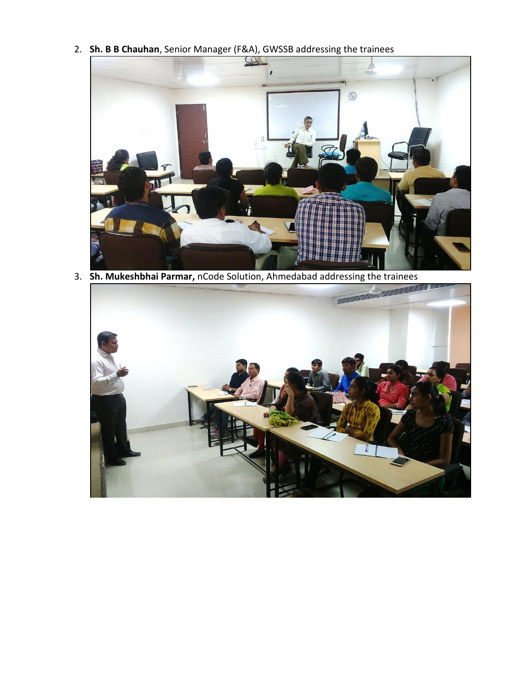2. **Sh. B B Chauhan**, Senior Manager (F&A), GWSSB addressing the trainees



3. **Sh. Mukeshbhai Parmar,** nCode Solution, Ahmedabad addressing the trainees